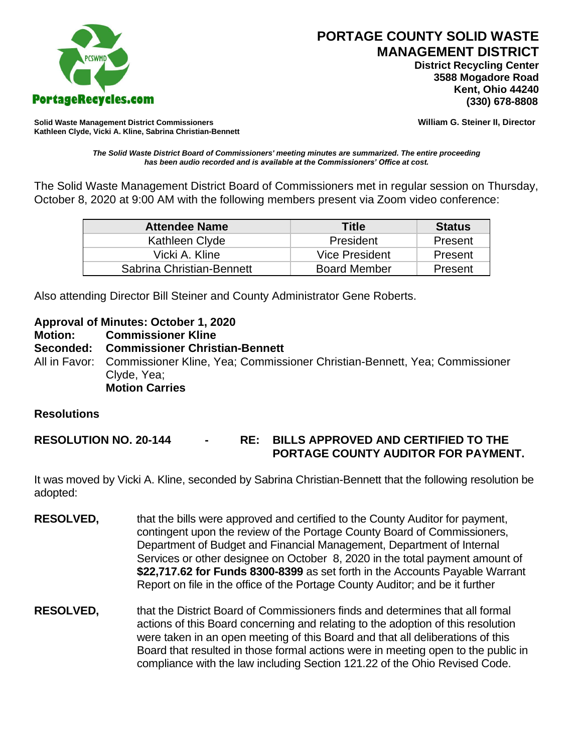

 **District Recycling Center 3588 Mogadore Road Kent, Ohio 44240**

**Solid Waste Management District Commissioners William G. Steiner II, Director Kathleen Clyde, Vicki A. Kline, Sabrina Christian-Bennett** 

*The Solid Waste District Board of Commissioners' meeting minutes are summarized. The entire proceeding has been audio recorded and is available at the Commissioners' Office at cost.*

The Solid Waste Management District Board of Commissioners met in regular session on Thursday, October 8, 2020 at 9:00 AM with the following members present via Zoom video conference:

| <b>Attendee Name</b>      | <b>Title</b>        | <b>Status</b> |
|---------------------------|---------------------|---------------|
| Kathleen Clyde            | President           | Present       |
| Vicki A. Kline            | Vice President      | Present       |
| Sabrina Christian-Bennett | <b>Board Member</b> | Present       |

Also attending Director Bill Steiner and County Administrator Gene Roberts.

**Approval of Minutes: October 1, 2020**

**Motion: Commissioner Kline Seconded: Commissioner Christian-Bennett** All in Favor: Commissioner Kline, Yea; Commissioner Christian-Bennett, Yea; Commissioner Clyde, Yea;

**Motion Carries**

#### **Resolutions**

**RESOLUTION NO. 20-144 - RE: BILLS APPROVED AND CERTIFIED TO THE PORTAGE COUNTY AUDITOR FOR PAYMENT.** 

It was moved by Vicki A. Kline, seconded by Sabrina Christian-Bennett that the following resolution be adopted:

- **RESOLVED,** that the bills were approved and certified to the County Auditor for payment, contingent upon the review of the Portage County Board of Commissioners, Department of Budget and Financial Management, Department of Internal Services or other designee on October 8, 2020 in the total payment amount of **\$22,717.62 for Funds 8300-8399** as set forth in the Accounts Payable Warrant Report on file in the office of the Portage County Auditor; and be it further
- **RESOLVED,** that the District Board of Commissioners finds and determines that all formal actions of this Board concerning and relating to the adoption of this resolution were taken in an open meeting of this Board and that all deliberations of this Board that resulted in those formal actions were in meeting open to the public in compliance with the law including Section 121.22 of the Ohio Revised Code.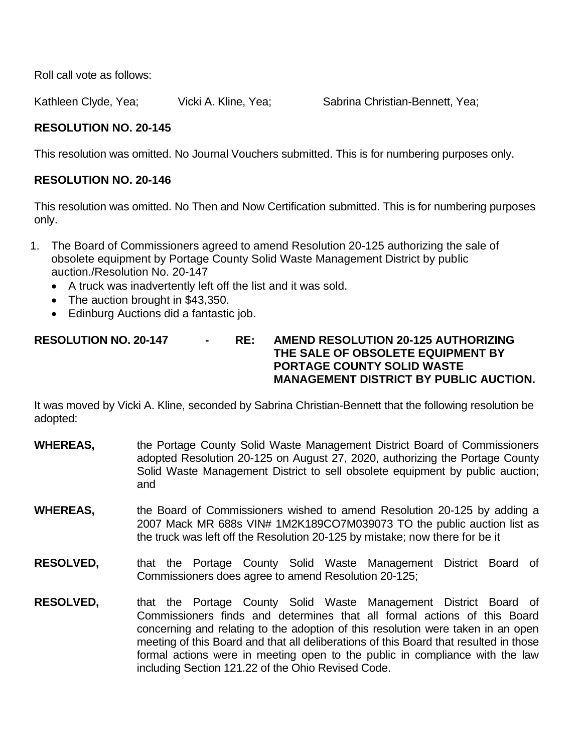Roll call vote as follows:

Kathleen Clyde, Yea; Vicki A. Kline, Yea; Sabrina Christian-Bennett, Yea;

# **RESOLUTION NO. 20-145**

This resolution was omitted. No Journal Vouchers submitted. This is for numbering purposes only.

## **RESOLUTION NO. 20-146**

This resolution was omitted. No Then and Now Certification submitted. This is for numbering purposes only.

- 1. The Board of Commissioners agreed to amend Resolution 20-125 authorizing the sale of obsolete equipment by Portage County Solid Waste Management District by public auction./Resolution No. 20-147
	- A truck was inadvertently left off the list and it was sold.
	- The auction brought in \$43,350.
	- Edinburg Auctions did a fantastic job.

#### **RESOLUTION NO. 20-147 - RE: AMEND RESOLUTION 20-125 AUTHORIZING THE SALE OF OBSOLETE EQUIPMENT BY PORTAGE COUNTY SOLID WASTE MANAGEMENT DISTRICT BY PUBLIC AUCTION.**

It was moved by Vicki A. Kline, seconded by Sabrina Christian-Bennett that the following resolution be adopted:

- **WHEREAS,** the Portage County Solid Waste Management District Board of Commissioners adopted Resolution 20-125 on August 27, 2020, authorizing the Portage County Solid Waste Management District to sell obsolete equipment by public auction; and
- **WHEREAS,** the Board of Commissioners wished to amend Resolution 20-125 by adding a 2007 Mack MR 688s VIN# 1M2K189CO7M039073 TO the public auction list as the truck was left off the Resolution 20-125 by mistake; now there for be it
- **RESOLVED,** that the Portage County Solid Waste Management District Board of Commissioners does agree to amend Resolution 20-125;
- **RESOLVED,** that the Portage County Solid Waste Management District Board of Commissioners finds and determines that all formal actions of this Board concerning and relating to the adoption of this resolution were taken in an open meeting of this Board and that all deliberations of this Board that resulted in those formal actions were in meeting open to the public in compliance with the law including Section 121.22 of the Ohio Revised Code.